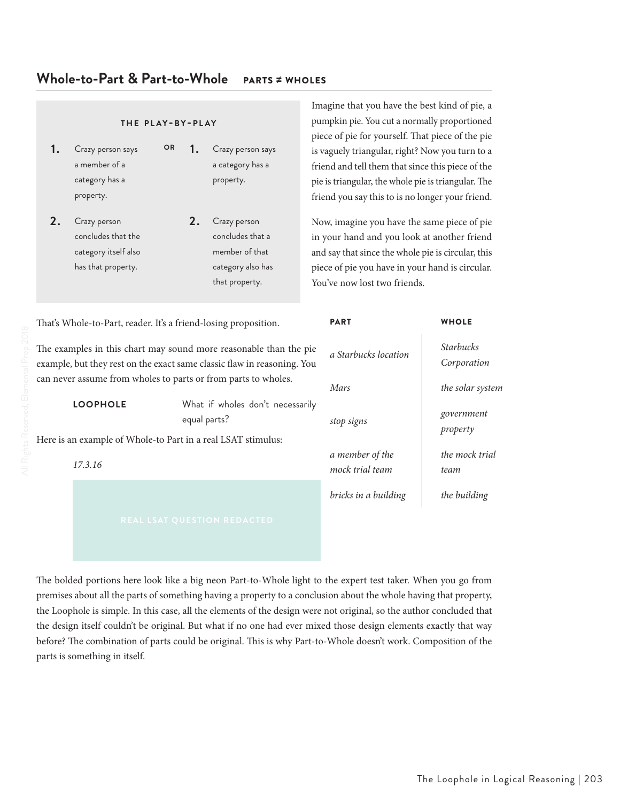# **Whole-to-Part & Part-to-Whole** PARTS ≠ WHOLES

- **1.** Crazy person says a member of a category has a property. **OR 1.** Crazy person says a category has a property.
- **2.** Crazy person concludes that the category itself also has that property.

**2.** Crazy person concludes that a member of that category also has that property.

Imagine that you have the best kind of pie, a pumpkin pie. You cut a normally proportioned piece of pie for yourself. That piece of the pie is vaguely triangular, right? Now you turn to a friend and tell them that since this piece of the pie is triangular, the whole pie is triangular. The friend you say this to is no longer your friend.

Now, imagine you have the same piece of pie in your hand and you look at another friend and say that since the whole pie is circular, this piece of pie you have in your hand is circular. You've now lost two friends.

That's Whole-to-Part, reader. It's a friend-losing proposition. The examples in this chart may sound more reasonable than the pie example, but they rest on the exact same classic flaw in reasoning. You can never assume from wholes to parts or from parts to wholes. **LOOPHOLE** What if wholes don't necessarily equal parts? Here is an example of Whole-to Part in a real LSAT stimulus: *17.3.16* PART WHOLE *a Starbucks location stop signs government a member of the mock trial team bricks in a building the building*

*Starbucks Corporation Mars the solar system property the mock trial team*

The bolded portions here look like a big neon Part-to-Whole light to the expert test taker. When you go from premises about all the parts of something having a property to a conclusion about the whole having that property, the Loophole is simple. In this case, all the elements of the design were not original, so the author concluded that the design itself couldn't be original. But what if no one had ever mixed those design elements exactly that way before? The combination of parts could be original. This is why Part-to-Whole doesn't work. Composition of the parts is something in itself.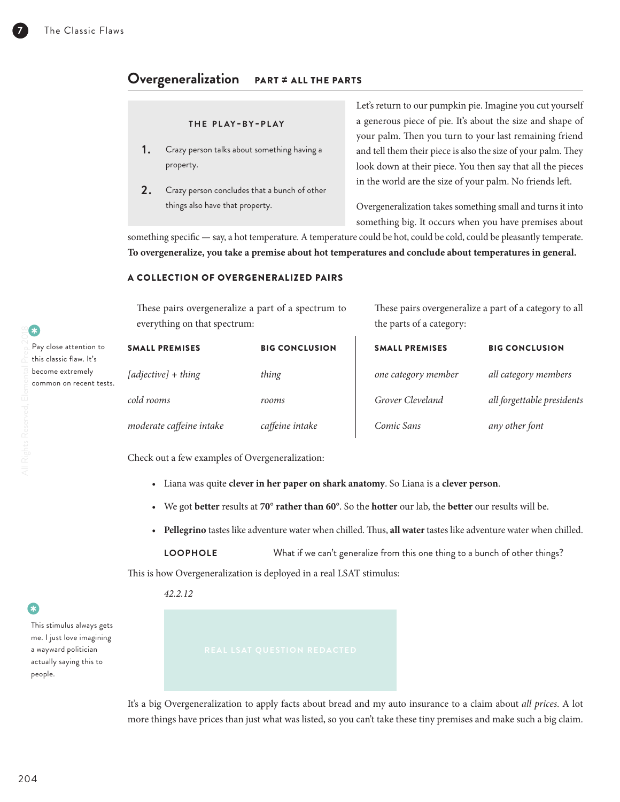# **Overgeneralization** PART ≠ ALL THE PARTS

## **t h e p l ay-b y-p l ay**

- **1.** Crazy person talks about something having a property.
- **2.** Crazy person concludes that a bunch of other things also have that property.

Let's return to our pumpkin pie. Imagine you cut yourself a generous piece of pie. It's about the size and shape of your palm. Then you turn to your last remaining friend and tell them their piece is also the size of your palm. They look down at their piece. You then say that all the pieces in the world are the size of your palm. No friends left.

Overgeneralization takes something small and turns it into something big. It occurs when you have premises about

something specific — say, a hot temperature. A temperature could be hot, could be cold, could be pleasantly temperate. **To overgeneralize, you take a premise about hot temperatures and conclude about temperatures in general.**

## A COLLECTION OF OVERGENERALIZED PAIRS

These pairs overgeneralize a part of a spectrum to everything on that spectrum: These pairs overgeneralize a part of a category to all the parts of a category:

| Pay close attention to  | <b>SMALL PREMISES</b>    | <b>BIG CONCLUSION</b> | <b>SMALL PREMISES</b> | <b>BIG CONCLUSION</b>      |
|-------------------------|--------------------------|-----------------------|-----------------------|----------------------------|
| this classic flaw. It's |                          |                       |                       |                            |
| become extremely        | [adjective] + thing      | thing                 | one category member   | all category members       |
| common on recent tests. |                          |                       |                       |                            |
|                         | cold rooms               | rooms                 | Grover Cleveland      | all forgettable presidents |
|                         | moderate caffeine intake | caffeine intake       | Comic Sans            | any other font             |

Check out a few examples of Overgeneralization:

- Liana was quite **clever in her paper on shark anatomy**. So Liana is a **clever person**.
- We got **better** results at **70**° **rather than 60**°. So the **hotter** our lab, the **better** our results will be.
- **Pellegrino** tastes like adventure water when chilled. Thus, **all water** tastes like adventure water when chilled.

**LOOPHOLE** What if we can't generalize from this one thing to a bunch of other things?

This is how Overgeneralization is deployed in a real LSAT stimulus:

*42.2.12*

• This stimulus always gets me. I just love imagining a wayward politician actually saying this to people.

It's a big Overgeneralization to apply facts about bread and my auto insurance to a claim about *all prices*. A lot more things have prices than just what was listed, so you can't take these tiny premises and make such a big claim.

•